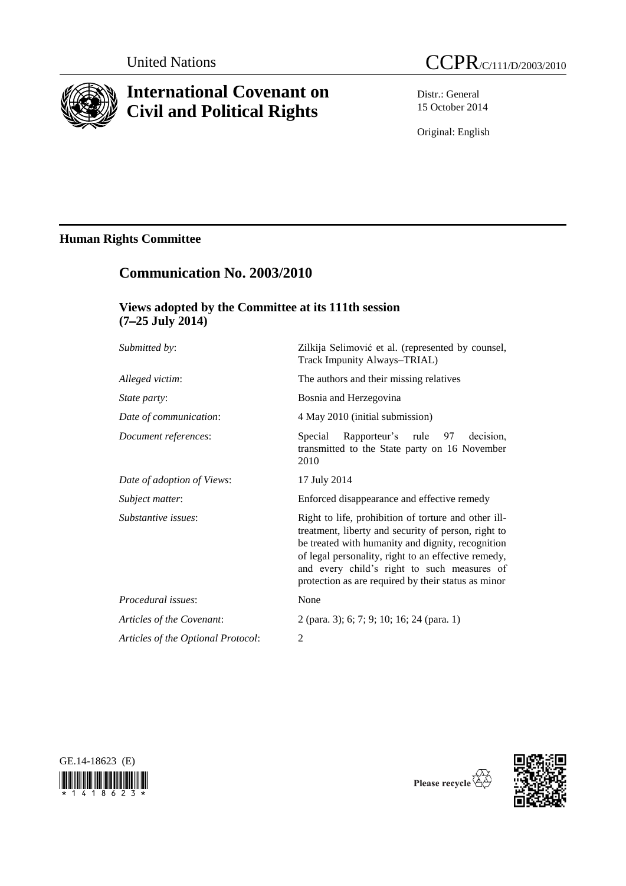

# **International Covenant on Civil and Political Rights**

**Communication No. 2003/2010**



Distr.: General 15 October 2014

Original: English

## **Human Rights Committee**

| Views adopted by the Committee at its 111th session                                                                                                                                                                                                                                                                           |
|-------------------------------------------------------------------------------------------------------------------------------------------------------------------------------------------------------------------------------------------------------------------------------------------------------------------------------|
| Zilkija Selimović et al. (represented by counsel,<br>Track Impunity Always-TRIAL)                                                                                                                                                                                                                                             |
| The authors and their missing relatives                                                                                                                                                                                                                                                                                       |
| Bosnia and Herzegovina                                                                                                                                                                                                                                                                                                        |
| 4 May 2010 (initial submission)                                                                                                                                                                                                                                                                                               |
| Special<br>Rapporteur's rule<br>decision.<br>97<br>transmitted to the State party on 16 November<br>2010                                                                                                                                                                                                                      |
| 17 July 2014                                                                                                                                                                                                                                                                                                                  |
| Enforced disappearance and effective remedy                                                                                                                                                                                                                                                                                   |
| Right to life, prohibition of torture and other ill-<br>treatment, liberty and security of person, right to<br>be treated with humanity and dignity, recognition<br>of legal personality, right to an effective remedy,<br>and every child's right to such measures of<br>protection as are required by their status as minor |
| None                                                                                                                                                                                                                                                                                                                          |
| 2 (para. 3); 6; 7; 9; 10; 16; 24 (para. 1)                                                                                                                                                                                                                                                                                    |
| $\overline{2}$                                                                                                                                                                                                                                                                                                                |
|                                                                                                                                                                                                                                                                                                                               |





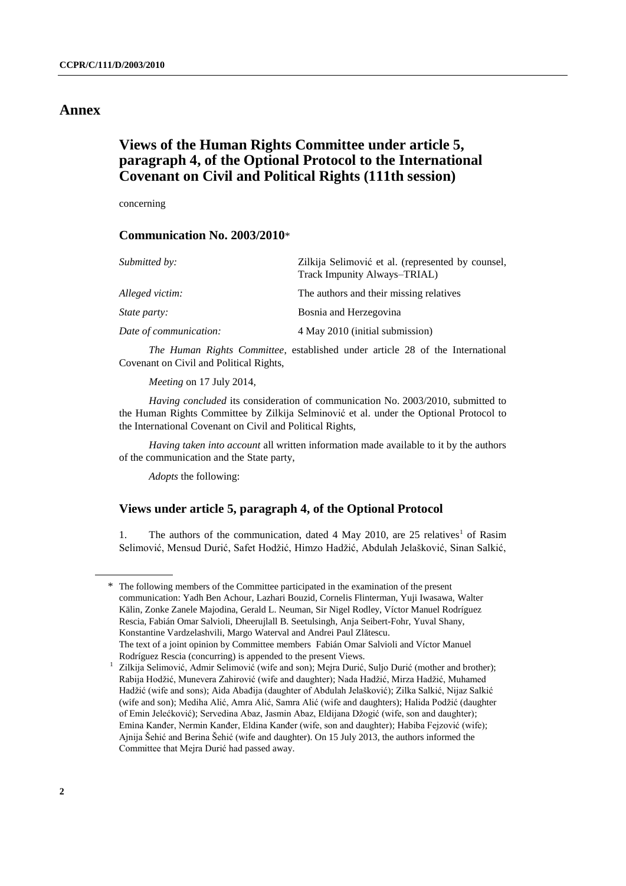## **Annex**

## **Views of the Human Rights Committee under article 5, paragraph 4, of the Optional Protocol to the International Covenant on Civil and Political Rights (111th session)**

concerning

### **Communication No. 2003/2010**\*

| Submitted by:          | Zilkija Selimović et al. (represented by counsel,<br>Track Impunity Always-TRIAL) |
|------------------------|-----------------------------------------------------------------------------------|
| Alleged victim:        | The authors and their missing relatives                                           |
| <i>State party:</i>    | Bosnia and Herzegovina                                                            |
| Date of communication: | 4 May 2010 (initial submission)                                                   |

*The Human Rights Committee*, established under article 28 of the International Covenant on Civil and Political Rights,

*Meeting* on 17 July 2014,

*Having concluded* its consideration of communication No. 2003/2010, submitted to the Human Rights Committee by Zilkija Selminović et al. under the Optional Protocol to the International Covenant on Civil and Political Rights,

*Having taken into account* all written information made available to it by the authors of the communication and the State party,

*Adopts* the following:

### **Views under article 5, paragraph 4, of the Optional Protocol**

1. The authors of the communication, dated 4 May 2010, are  $25$  relatives<sup>1</sup> of Rasim Selimović, Mensud Durić, Safet Hodžić, Himzo Hadžić, Abdulah Jelašković, Sinan Salkić,

<sup>\*</sup> The following members of the Committee participated in the examination of the present communication: Yadh Ben Achour, Lazhari Bouzid, Cornelis Flinterman, Yuji Iwasawa, Walter Kälin, Zonke Zanele Majodina, Gerald L. Neuman, Sir Nigel Rodley, Víctor Manuel Rodríguez Rescia, Fabián Omar Salvioli, Dheerujlall B. Seetulsingh, Anja Seibert-Fohr, Yuval Shany, Konstantine Vardzelashvili, Margo Waterval and Andrei Paul Zlătescu. The text of a joint opinion by Committee members Fabián Omar Salvioli and Víctor Manuel Rodríguez Rescia (concurring) is appended to the present Views.

<sup>1</sup> Zilkija Selimović, Admir Selimović (wife and son); Mejra Durić, Suljo Durić (mother and brother); Rabija Hodžić, Munevera Zahirović (wife and daughter); Nada Hadžić, Mirza Hadžić, Muhamed Hadžić (wife and sons); Aida Abađija (daughter of Abdulah Jelašković); Zilka Salkić, Nijaz Salkić (wife and son); Mediha Alić, Amra Alić, Samra Alić (wife and daughters); Halida Podžić (daughter of Emin Jelećković); Servedina Abaz, Jasmin Abaz, Eldijana Džogić (wife, son and daughter); Emina Kanđer, Nermin Kanđer, Eldina Kanđer (wife, son and daughter); Habiba Fejzović (wife); Ajnija Šehić and Berina Šehić (wife and daughter). On 15 July 2013, the authors informed the Committee that Mejra Durić had passed away.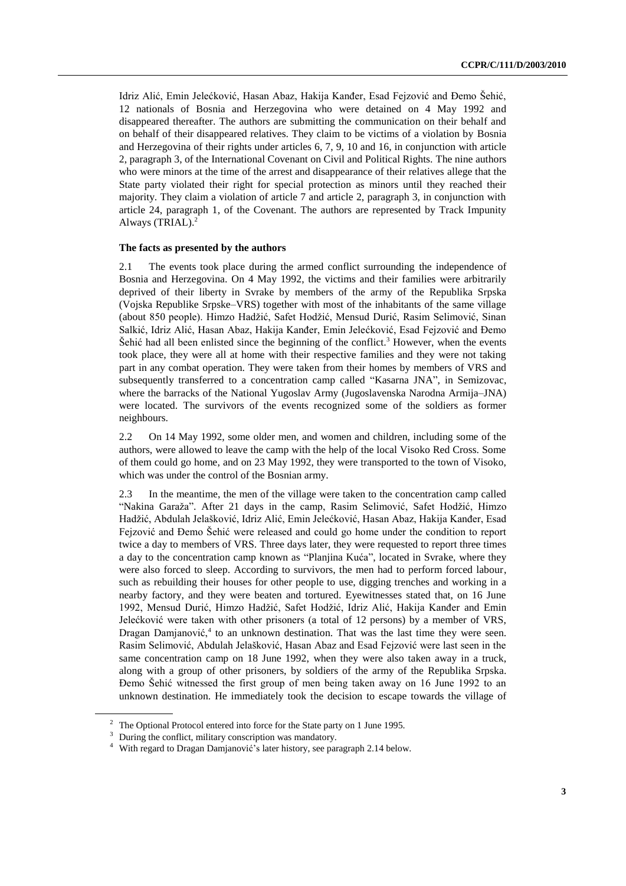Idriz Alić, Emin Jelećković, Hasan Abaz, Hakija Kanđer, Esad Fejzović and Đemo Šehić, 12 nationals of Bosnia and Herzegovina who were detained on 4 May 1992 and disappeared thereafter. The authors are submitting the communication on their behalf and on behalf of their disappeared relatives. They claim to be victims of a violation by Bosnia and Herzegovina of their rights under articles 6, 7, 9, 10 and 16, in conjunction with article 2, paragraph 3, of the International Covenant on Civil and Political Rights. The nine authors who were minors at the time of the arrest and disappearance of their relatives allege that the State party violated their right for special protection as minors until they reached their majority. They claim a violation of article 7 and article 2, paragraph 3, in conjunction with article 24, paragraph 1, of the Covenant. The authors are represented by Track Impunity Always (TRIAL).<sup>2</sup>

#### **The facts as presented by the authors**

2.1 The events took place during the armed conflict surrounding the independence of Bosnia and Herzegovina. On 4 May 1992, the victims and their families were arbitrarily deprived of their liberty in Svrake by members of the army of the Republika Srpska (Vojska Republike Srpske–VRS) together with most of the inhabitants of the same village (about 850 people). Himzo Hadžić, Safet Hodžić, Mensud Durić, Rasim Selimović, Sinan Salkić, Idriz Alić, Hasan Abaz, Hakija Kanđer, Emin Jelećković, Esad Fejzović and Đemo Šehić had all been enlisted since the beginning of the conflict.<sup>3</sup> However, when the events took place, they were all at home with their respective families and they were not taking part in any combat operation. They were taken from their homes by members of VRS and subsequently transferred to a concentration camp called "Kasarna JNA", in Semizovac, where the barracks of the National Yugoslav Army (Jugoslavenska Narodna Armija*–*JNA) were located. The survivors of the events recognized some of the soldiers as former neighbours.

2.2 On 14 May 1992, some older men, and women and children, including some of the authors, were allowed to leave the camp with the help of the local Visoko Red Cross. Some of them could go home, and on 23 May 1992, they were transported to the town of Visoko, which was under the control of the Bosnian army.

2.3 In the meantime, the men of the village were taken to the concentration camp called "Nakina Garaža". After 21 days in the camp, Rasim Selimović, Safet Hodžić, Himzo Hadžić, Abdulah Jelašković, Idriz Alić, Emin Jelećković, Hasan Abaz, Hakija Kanđer, Esad Fejzović and Đemo Šehić were released and could go home under the condition to report twice a day to members of VRS. Three days later, they were requested to report three times a day to the concentration camp known as "Planjina Kuća", located in Svrake, where they were also forced to sleep. According to survivors, the men had to perform forced labour, such as rebuilding their houses for other people to use, digging trenches and working in a nearby factory, and they were beaten and tortured. Eyewitnesses stated that, on 16 June 1992, Mensud Durić, Himzo Hadžić, Safet Hodžić, Idriz Alić, Hakija Kanđer and Emin Jelećković were taken with other prisoners (a total of 12 persons) by a member of VRS, Dragan Damjanović,<sup>4</sup> to an unknown destination. That was the last time they were seen. Rasim Selimović, Abdulah Jelašković, Hasan Abaz and Esad Fejzović were last seen in the same concentration camp on 18 June 1992, when they were also taken away in a truck, along with a group of other prisoners, by soldiers of the army of the Republika Srpska. Đemo Šehić witnessed the first group of men being taken away on 16 June 1992 to an unknown destination. He immediately took the decision to escape towards the village of

<sup>2</sup> The Optional Protocol entered into force for the State party on 1 June 1995.

<sup>&</sup>lt;sup>3</sup> During the conflict, military conscription was mandatory.

<sup>4</sup> With regard to Dragan Damjanović's later history, see paragraph 2.14 below.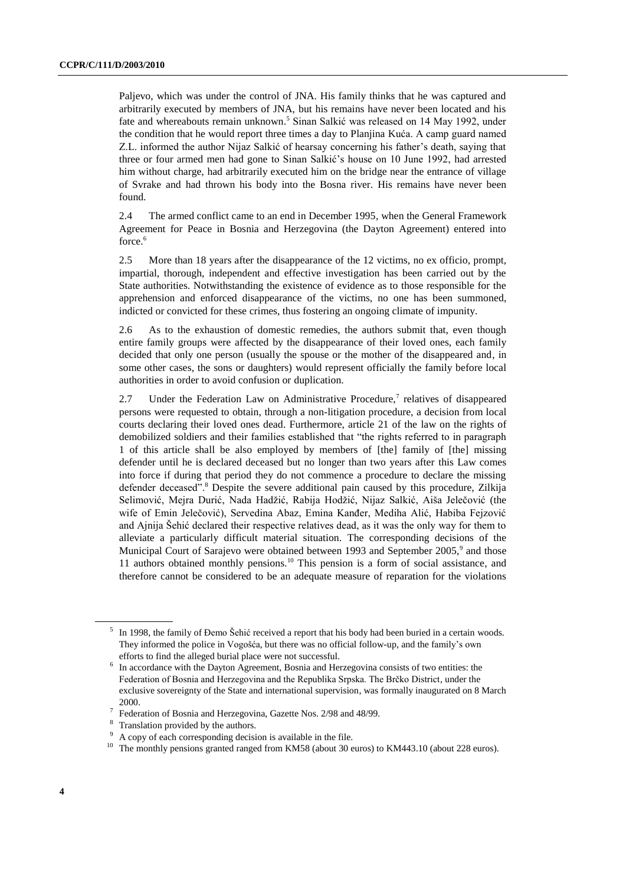Paljevo, which was under the control of JNA. His family thinks that he was captured and arbitrarily executed by members of JNA, but his remains have never been located and his fate and whereabouts remain unknown. <sup>5</sup> Sinan Salkić was released on 14 May 1992, under the condition that he would report three times a day to Planjina Kuća. A camp guard named Z.L. informed the author Nijaz Salkić of hearsay concerning his father's death, saying that three or four armed men had gone to Sinan Salkić's house on 10 June 1992, had arrested him without charge, had arbitrarily executed him on the bridge near the entrance of village of Svrake and had thrown his body into the Bosna river. His remains have never been found.

2.4 The armed conflict came to an end in December 1995, when the General Framework Agreement for Peace in Bosnia and Herzegovina (the Dayton Agreement) entered into force.<sup>6</sup>

2.5 More than 18 years after the disappearance of the 12 victims, no ex officio, prompt, impartial, thorough, independent and effective investigation has been carried out by the State authorities. Notwithstanding the existence of evidence as to those responsible for the apprehension and enforced disappearance of the victims, no one has been summoned, indicted or convicted for these crimes, thus fostering an ongoing climate of impunity.

2.6 As to the exhaustion of domestic remedies, the authors submit that, even though entire family groups were affected by the disappearance of their loved ones, each family decided that only one person (usually the spouse or the mother of the disappeared and, in some other cases, the sons or daughters) would represent officially the family before local authorities in order to avoid confusion or duplication.

2.7 Under the Federation Law on Administrative Procedure,<sup>7</sup> relatives of disappeared persons were requested to obtain, through a non-litigation procedure, a decision from local courts declaring their loved ones dead. Furthermore, article 21 of the law on the rights of demobilized soldiers and their families established that "the rights referred to in paragraph 1 of this article shall be also employed by members of [the] family of [the] missing defender until he is declared deceased but no longer than two years after this Law comes into force if during that period they do not commence a procedure to declare the missing defender deceased".<sup>8</sup> Despite the severe additional pain caused by this procedure, Zilkija Selimović, Mejra Durić, Nada Hadžić, Rabija Hodžić, Nijaz Salkić, Aiša Jelečović (the wife of Emin Jelečović), Servedina Abaz, Emina Kanđer, Mediha Alić, Habiba Fejzović and Ajnija Šehić declared their respective relatives dead, as it was the only way for them to alleviate a particularly difficult material situation. The corresponding decisions of the Municipal Court of Sarajevo were obtained between 1993 and September 2005,<sup>9</sup> and those 11 authors obtained monthly pensions.<sup>10</sup> This pension is a form of social assistance, and therefore cannot be considered to be an adequate measure of reparation for the violations

<sup>&</sup>lt;sup>5</sup> In 1998, the family of Đemo Šehić received a report that his body had been buried in a certain woods. They informed the police in Vogošća, but there was no official follow-up, and the family's own efforts to find the alleged burial place were not successful.

<sup>&</sup>lt;sup>6</sup> In accordance with the Dayton Agreement, Bosnia and Herzegovina consists of two entities: the Federation of Bosnia and Herzegovina and the Republika Srpska. The Brčko District, under the exclusive sovereignty of the State and international supervision, was formally inaugurated on 8 March 2000.

<sup>7</sup> Federation of Bosnia and Herzegovina, Gazette Nos. 2/98 and 48/99.

Translation provided by the authors.

<sup>&</sup>lt;sup>9</sup> A copy of each corresponding decision is available in the file.

<sup>&</sup>lt;sup>10</sup> The monthly pensions granted ranged from KM58 (about 30 euros) to KM443.10 (about 228 euros).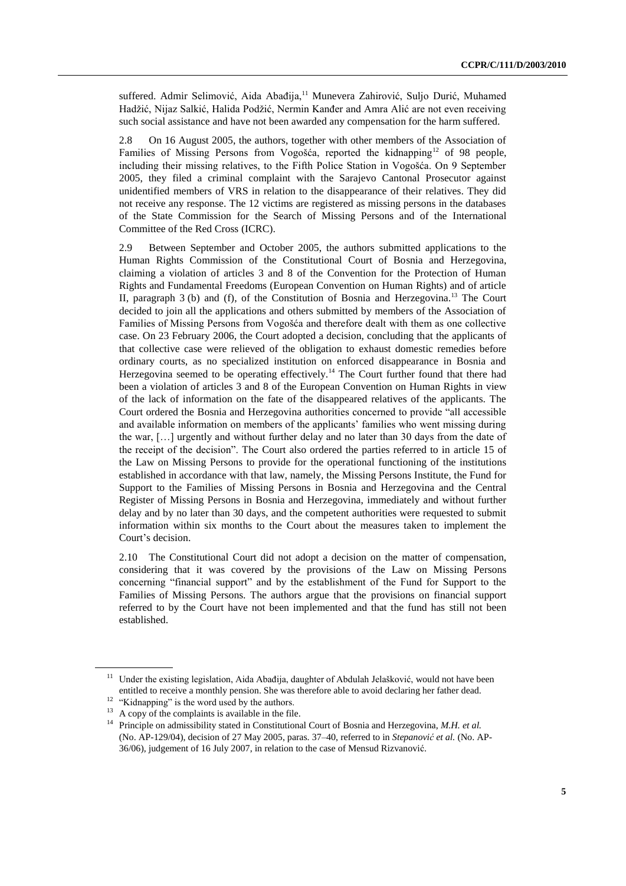suffered. Admir Selimović, Aida Abađija,<sup>11</sup> Munevera Zahirović, Suljo Durić, Muhamed Hadžić, Nijaz Salkić, Halida Podžić, Nermin Kanđer and Amra Alić are not even receiving such social assistance and have not been awarded any compensation for the harm suffered.

2.8 On 16 August 2005, the authors, together with other members of the Association of Families of Missing Persons from Vogošća, reported the kidnapping<sup>12</sup> of 98 people, including their missing relatives, to the Fifth Police Station in Vogošća. On 9 September 2005, they filed a criminal complaint with the Sarajevo Cantonal Prosecutor against unidentified members of VRS in relation to the disappearance of their relatives. They did not receive any response. The 12 victims are registered as missing persons in the databases of the State Commission for the Search of Missing Persons and of the International Committee of the Red Cross (ICRC).

2.9 Between September and October 2005, the authors submitted applications to the Human Rights Commission of the Constitutional Court of Bosnia and Herzegovina, claiming a violation of articles 3 and 8 of the Convention for the Protection of Human Rights and Fundamental Freedoms (European Convention on Human Rights) and of article II, paragraph 3 (b) and (f), of the Constitution of Bosnia and Herzegovina.<sup>13</sup> The Court decided to join all the applications and others submitted by members of the Association of Families of Missing Persons from Vogošća and therefore dealt with them as one collective case. On 23 February 2006, the Court adopted a decision, concluding that the applicants of that collective case were relieved of the obligation to exhaust domestic remedies before ordinary courts, as no specialized institution on enforced disappearance in Bosnia and Herzegovina seemed to be operating effectively.<sup>14</sup> The Court further found that there had been a violation of articles 3 and 8 of the European Convention on Human Rights in view of the lack of information on the fate of the disappeared relatives of the applicants. The Court ordered the Bosnia and Herzegovina authorities concerned to provide "all accessible and available information on members of the applicants' families who went missing during the war, […] urgently and without further delay and no later than 30 days from the date of the receipt of the decision". The Court also ordered the parties referred to in article 15 of the Law on Missing Persons to provide for the operational functioning of the institutions established in accordance with that law, namely, the Missing Persons Institute, the Fund for Support to the Families of Missing Persons in Bosnia and Herzegovina and the Central Register of Missing Persons in Bosnia and Herzegovina, immediately and without further delay and by no later than 30 days, and the competent authorities were requested to submit information within six months to the Court about the measures taken to implement the Court's decision.

2.10 The Constitutional Court did not adopt a decision on the matter of compensation, considering that it was covered by the provisions of the Law on Missing Persons concerning "financial support" and by the establishment of the Fund for Support to the Families of Missing Persons. The authors argue that the provisions on financial support referred to by the Court have not been implemented and that the fund has still not been established.

<sup>&</sup>lt;sup>11</sup> Under the existing legislation, Aida Abađija, daughter of Abdulah Jelašković, would not have been entitled to receive a monthly pension. She was therefore able to avoid declaring her father dead.

<sup>&</sup>lt;sup>12</sup> "Kidnapping" is the word used by the authors.  $13$  A copy of the complaints is available in the file.

<sup>&</sup>lt;sup>14</sup> Principle on admissibility stated in Constitutional Court of Bosnia and Herzegovina, *M.H. et al.* (No. AP-129/04), decision of 27 May 2005, paras. 37–40, referred to in *Stepanović et al.* (No. AP-36/06), judgement of 16 July 2007, in relation to the case of Mensud Rizvanović.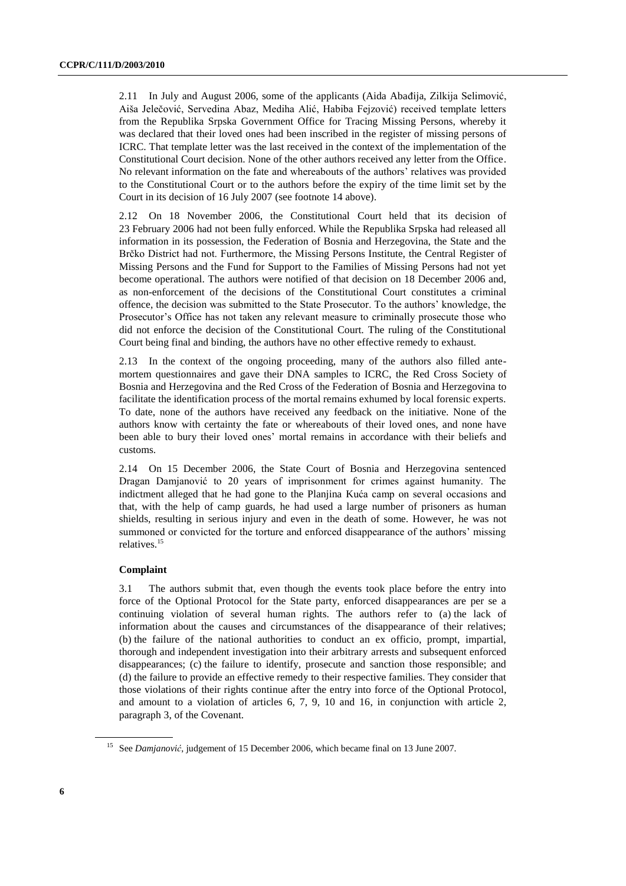2.11 In July and August 2006, some of the applicants (Aida Abađija, Zilkija Selimović, Aiša Jelečović, Servedina Abaz, Mediha Alić, Habiba Fejzović) received template letters from the Republika Srpska Government Office for Tracing Missing Persons, whereby it was declared that their loved ones had been inscribed in the register of missing persons of ICRC. That template letter was the last received in the context of the implementation of the Constitutional Court decision. None of the other authors received any letter from the Office. No relevant information on the fate and whereabouts of the authors' relatives was provided to the Constitutional Court or to the authors before the expiry of the time limit set by the Court in its decision of 16 July 2007 (see footnote 14 above).

2.12 On 18 November 2006, the Constitutional Court held that its decision of 23 February 2006 had not been fully enforced. While the Republika Srpska had released all information in its possession, the Federation of Bosnia and Herzegovina, the State and the Brčko District had not. Furthermore, the Missing Persons Institute, the Central Register of Missing Persons and the Fund for Support to the Families of Missing Persons had not yet become operational. The authors were notified of that decision on 18 December 2006 and, as non-enforcement of the decisions of the Constitutional Court constitutes a criminal offence, the decision was submitted to the State Prosecutor. To the authors' knowledge, the Prosecutor's Office has not taken any relevant measure to criminally prosecute those who did not enforce the decision of the Constitutional Court. The ruling of the Constitutional Court being final and binding, the authors have no other effective remedy to exhaust.

2.13 In the context of the ongoing proceeding, many of the authors also filled antemortem questionnaires and gave their DNA samples to ICRC, the Red Cross Society of Bosnia and Herzegovina and the Red Cross of the Federation of Bosnia and Herzegovina to facilitate the identification process of the mortal remains exhumed by local forensic experts. To date, none of the authors have received any feedback on the initiative. None of the authors know with certainty the fate or whereabouts of their loved ones, and none have been able to bury their loved ones' mortal remains in accordance with their beliefs and customs.

2.14 On 15 December 2006, the State Court of Bosnia and Herzegovina sentenced Dragan Damjanović to 20 years of imprisonment for crimes against humanity. The indictment alleged that he had gone to the Planjina Kuća camp on several occasions and that, with the help of camp guards, he had used a large number of prisoners as human shields, resulting in serious injury and even in the death of some. However, he was not summoned or convicted for the torture and enforced disappearance of the authors' missing relatives.<sup>15</sup>

#### **Complaint**

3.1 The authors submit that, even though the events took place before the entry into force of the Optional Protocol for the State party, enforced disappearances are per se a continuing violation of several human rights. The authors refer to (a) the lack of information about the causes and circumstances of the disappearance of their relatives; (b) the failure of the national authorities to conduct an ex officio, prompt, impartial, thorough and independent investigation into their arbitrary arrests and subsequent enforced disappearances; (c) the failure to identify, prosecute and sanction those responsible; and (d) the failure to provide an effective remedy to their respective families. They consider that those violations of their rights continue after the entry into force of the Optional Protocol, and amount to a violation of articles 6, 7, 9, 10 and 16, in conjunction with article 2, paragraph 3, of the Covenant.

<sup>&</sup>lt;sup>15</sup> See *Damjanović*, judgement of 15 December 2006, which became final on 13 June 2007.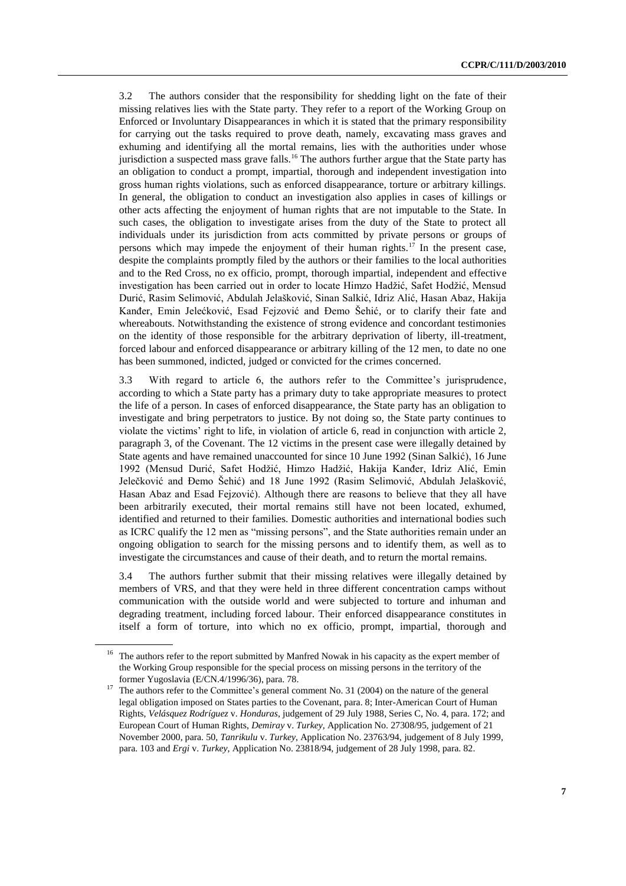3.2 The authors consider that the responsibility for shedding light on the fate of their missing relatives lies with the State party. They refer to a report of the Working Group on Enforced or Involuntary Disappearances in which it is stated that the primary responsibility for carrying out the tasks required to prove death, namely, excavating mass graves and exhuming and identifying all the mortal remains, lies with the authorities under whose jurisdiction a suspected mass grave falls.<sup>16</sup> The authors further argue that the State party has an obligation to conduct a prompt, impartial, thorough and independent investigation into gross human rights violations, such as enforced disappearance, torture or arbitrary killings. In general, the obligation to conduct an investigation also applies in cases of killings or other acts affecting the enjoyment of human rights that are not imputable to the State. In such cases, the obligation to investigate arises from the duty of the State to protect all individuals under its jurisdiction from acts committed by private persons or groups of persons which may impede the enjoyment of their human rights.<sup>17</sup> In the present case, despite the complaints promptly filed by the authors or their families to the local authorities and to the Red Cross, no ex officio, prompt, thorough impartial, independent and effective investigation has been carried out in order to locate Himzo Hadžić, Safet Hodžić, Mensud Durić, Rasim Selimović, Abdulah Jelašković, Sinan Salkić, Idriz Alić, Hasan Abaz, Hakija Kanđer, Emin Jelećković, Esad Fejzović and Đemo Šehić, or to clarify their fate and whereabouts. Notwithstanding the existence of strong evidence and concordant testimonies on the identity of those responsible for the arbitrary deprivation of liberty, ill-treatment, forced labour and enforced disappearance or arbitrary killing of the 12 men, to date no one has been summoned, indicted, judged or convicted for the crimes concerned.

3.3 With regard to article 6, the authors refer to the Committee's jurisprudence, according to which a State party has a primary duty to take appropriate measures to protect the life of a person. In cases of enforced disappearance, the State party has an obligation to investigate and bring perpetrators to justice. By not doing so, the State party continues to violate the victims' right to life, in violation of article 6, read in conjunction with article 2, paragraph 3, of the Covenant. The 12 victims in the present case were illegally detained by State agents and have remained unaccounted for since 10 June 1992 (Sinan Salkić), 16 June 1992 (Mensud Durić, Safet Hodžić, Himzo Hadžić, Hakija Kanđer, Idriz Alić, Emin Jelečković and Đemo Šehić) and 18 June 1992 (Rasim Selimović, Abdulah Jelašković, Hasan Abaz and Esad Fejzović). Although there are reasons to believe that they all have been arbitrarily executed, their mortal remains still have not been located, exhumed, identified and returned to their families. Domestic authorities and international bodies such as ICRC qualify the 12 men as "missing persons", and the State authorities remain under an ongoing obligation to search for the missing persons and to identify them, as well as to investigate the circumstances and cause of their death, and to return the mortal remains.

3.4 The authors further submit that their missing relatives were illegally detained by members of VRS, and that they were held in three different concentration camps without communication with the outside world and were subjected to torture and inhuman and degrading treatment, including forced labour. Their enforced disappearance constitutes in itself a form of torture, into which no ex officio, prompt, impartial, thorough and

<sup>&</sup>lt;sup>16</sup> The authors refer to the report submitted by Manfred Nowak in his capacity as the expert member of the Working Group responsible for the special process on missing persons in the territory of the former Yugoslavia (E/CN.4/1996/36), para. 78.

<sup>&</sup>lt;sup>17</sup> The authors refer to the Committee's general comment No. 31 (2004) on the nature of the general legal obligation imposed on States parties to the Covenant, para. 8; Inter-American Court of Human Rights, *Velásquez Rodríguez* v. *Honduras*, judgement of 29 July 1988, Series C, No. 4, para. 172; and European Court of Human Rights, *Demiray* v. *Turkey,* Application No. 27308/95, judgement of 21 November 2000, para. 50, *Tanrikulu* v. *Turkey*, Application No. 23763/94, judgement of 8 July 1999, para. 103 and *Ergi* v. *Turkey,* Application No. 23818/94, judgement of 28 July 1998, para. 82.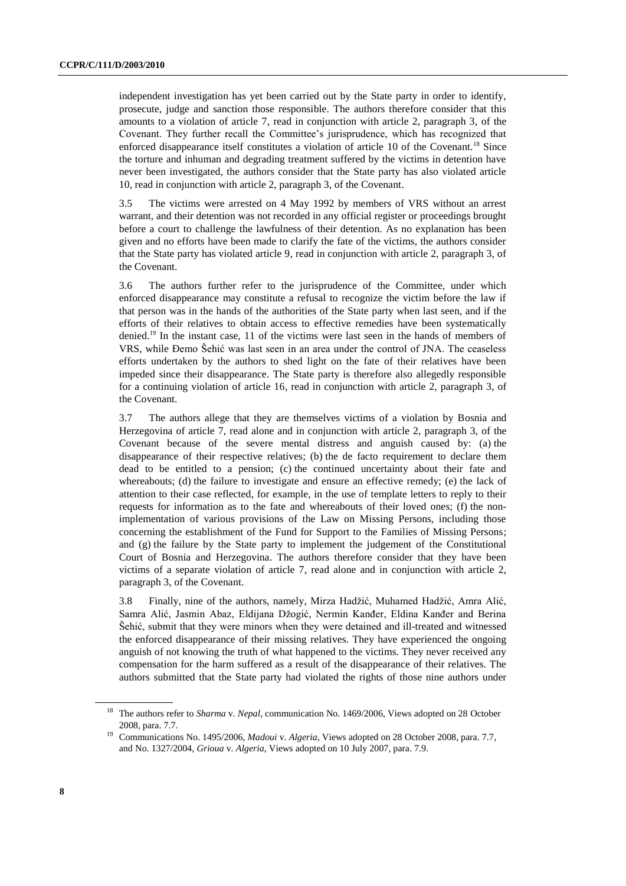independent investigation has yet been carried out by the State party in order to identify, prosecute, judge and sanction those responsible. The authors therefore consider that this amounts to a violation of article 7, read in conjunction with article 2, paragraph 3, of the Covenant. They further recall the Committee's jurisprudence, which has recognized that enforced disappearance itself constitutes a violation of article 10 of the Covenant.<sup>18</sup> Since the torture and inhuman and degrading treatment suffered by the victims in detention have never been investigated, the authors consider that the State party has also violated article 10, read in conjunction with article 2, paragraph 3, of the Covenant.

3.5 The victims were arrested on 4 May 1992 by members of VRS without an arrest warrant, and their detention was not recorded in any official register or proceedings brought before a court to challenge the lawfulness of their detention. As no explanation has been given and no efforts have been made to clarify the fate of the victims, the authors consider that the State party has violated article 9, read in conjunction with article 2, paragraph 3, of the Covenant.

3.6 The authors further refer to the jurisprudence of the Committee, under which enforced disappearance may constitute a refusal to recognize the victim before the law if that person was in the hands of the authorities of the State party when last seen, and if the efforts of their relatives to obtain access to effective remedies have been systematically denied.<sup>19</sup> In the instant case, 11 of the victims were last seen in the hands of members of VRS, while Đemo Šehić was last seen in an area under the control of JNA. The ceaseless efforts undertaken by the authors to shed light on the fate of their relatives have been impeded since their disappearance. The State party is therefore also allegedly responsible for a continuing violation of article 16, read in conjunction with article 2, paragraph 3, of the Covenant.

3.7 The authors allege that they are themselves victims of a violation by Bosnia and Herzegovina of article 7, read alone and in conjunction with article 2, paragraph 3, of the Covenant because of the severe mental distress and anguish caused by: (a) the disappearance of their respective relatives; (b) the de facto requirement to declare them dead to be entitled to a pension; (c) the continued uncertainty about their fate and whereabouts; (d) the failure to investigate and ensure an effective remedy; (e) the lack of attention to their case reflected, for example, in the use of template letters to reply to their requests for information as to the fate and whereabouts of their loved ones; (f) the nonimplementation of various provisions of the Law on Missing Persons, including those concerning the establishment of the Fund for Support to the Families of Missing Persons; and (g) the failure by the State party to implement the judgement of the Constitutional Court of Bosnia and Herzegovina. The authors therefore consider that they have been victims of a separate violation of article 7, read alone and in conjunction with article 2, paragraph 3, of the Covenant.

3.8 Finally, nine of the authors, namely, Mirza Hadžić, Muhamed Hadžić, Amra Alić, Samra Alić, Jasmin Abaz, Eldijana Džogić, Nermin Kanđer, Eldina Kanđer and Berina Šehić, submit that they were minors when they were detained and ill-treated and witnessed the enforced disappearance of their missing relatives. They have experienced the ongoing anguish of not knowing the truth of what happened to the victims. They never received any compensation for the harm suffered as a result of the disappearance of their relatives. The authors submitted that the State party had violated the rights of those nine authors under

<sup>18</sup> The authors refer to *Sharma* v. *Nepal*, communication No. 1469/2006, Views adopted on 28 October 2008, para. 7.7.

<sup>&</sup>lt;sup>19</sup> Communications No. 1495/2006, *Madoui v. Algeria*, Views adopted on 28 October 2008, para. 7.7, and No. 1327/2004, *Grioua* v. *Algeria*, Views adopted on 10 July 2007, para. 7.9.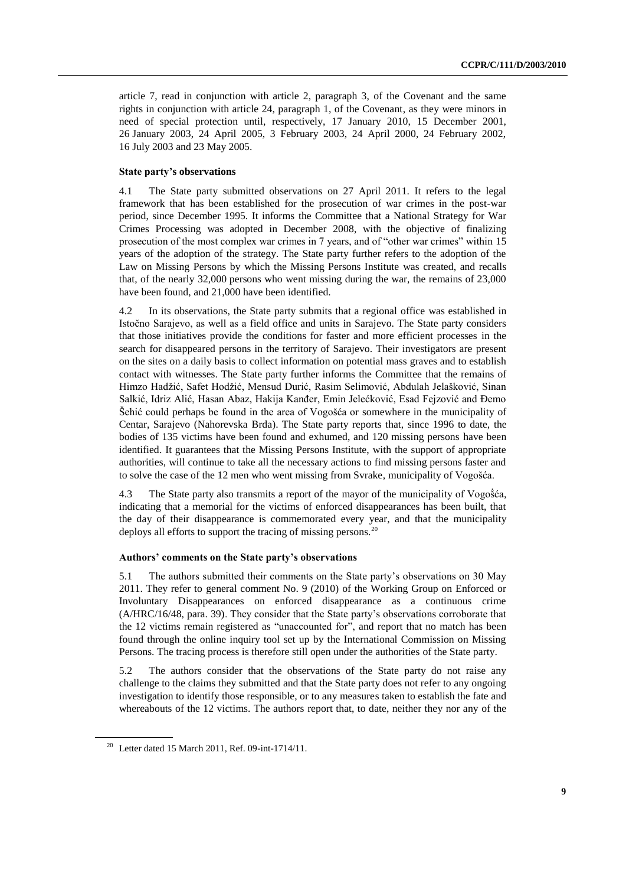article 7, read in conjunction with article 2, paragraph 3, of the Covenant and the same rights in conjunction with article 24, paragraph 1, of the Covenant, as they were minors in need of special protection until, respectively, 17 January 2010, 15 December 2001, 26 January 2003, 24 April 2005, 3 February 2003, 24 April 2000, 24 February 2002, 16 July 2003 and 23 May 2005.

#### **State party's observations**

4.1 The State party submitted observations on 27 April 2011. It refers to the legal framework that has been established for the prosecution of war crimes in the post-war period, since December 1995. It informs the Committee that a National Strategy for War Crimes Processing was adopted in December 2008, with the objective of finalizing prosecution of the most complex war crimes in 7 years, and of "other war crimes" within 15 years of the adoption of the strategy. The State party further refers to the adoption of the Law on Missing Persons by which the Missing Persons Institute was created, and recalls that, of the nearly 32,000 persons who went missing during the war, the remains of 23,000 have been found, and 21,000 have been identified.

4.2 In its observations, the State party submits that a regional office was established in Istočno Sarajevo, as well as a field office and units in Sarajevo. The State party considers that those initiatives provide the conditions for faster and more efficient processes in the search for disappeared persons in the territory of Sarajevo. Their investigators are present on the sites on a daily basis to collect information on potential mass graves and to establish contact with witnesses. The State party further informs the Committee that the remains of Himzo Hadžić, Safet Hodžić, Mensud Durić, Rasim Selimović, Abdulah Jelašković, Sinan Salkić, Idriz Alić, Hasan Abaz, Hakija Kanđer, Emin Jelećković, Esad Fejzović and Đemo Šehić could perhaps be found in the area of Vogošća or somewhere in the municipality of Centar, Sarajevo (Nahorevska Brda). The State party reports that, since 1996 to date, the bodies of 135 victims have been found and exhumed, and 120 missing persons have been identified. It guarantees that the Missing Persons Institute, with the support of appropriate authorities, will continue to take all the necessary actions to find missing persons faster and to solve the case of the 12 men who went missing from Svrake, municipality of Vogošća.

4.3 The State party also transmits a report of the mayor of the municipality of Vogošća, indicating that a memorial for the victims of enforced disappearances has been built, that the day of their disappearance is commemorated every year, and that the municipality deploys all efforts to support the tracing of missing persons.<sup>20</sup>

#### **Authors' comments on the State party's observations**

5.1 The authors submitted their comments on the State party's observations on 30 May 2011. They refer to general comment No. 9 (2010) of the Working Group on Enforced or Involuntary Disappearances on enforced disappearance as a continuous crime (A/HRC/16/48, para. 39). They consider that the State party's observations corroborate that the 12 victims remain registered as "unaccounted for", and report that no match has been found through the online inquiry tool set up by the International Commission on Missing Persons. The tracing process is therefore still open under the authorities of the State party.

5.2 The authors consider that the observations of the State party do not raise any challenge to the claims they submitted and that the State party does not refer to any ongoing investigation to identify those responsible, or to any measures taken to establish the fate and whereabouts of the 12 victims. The authors report that, to date, neither they nor any of the

<sup>&</sup>lt;sup>20</sup> Letter dated 15 March 2011, Ref. 09-int-1714/11.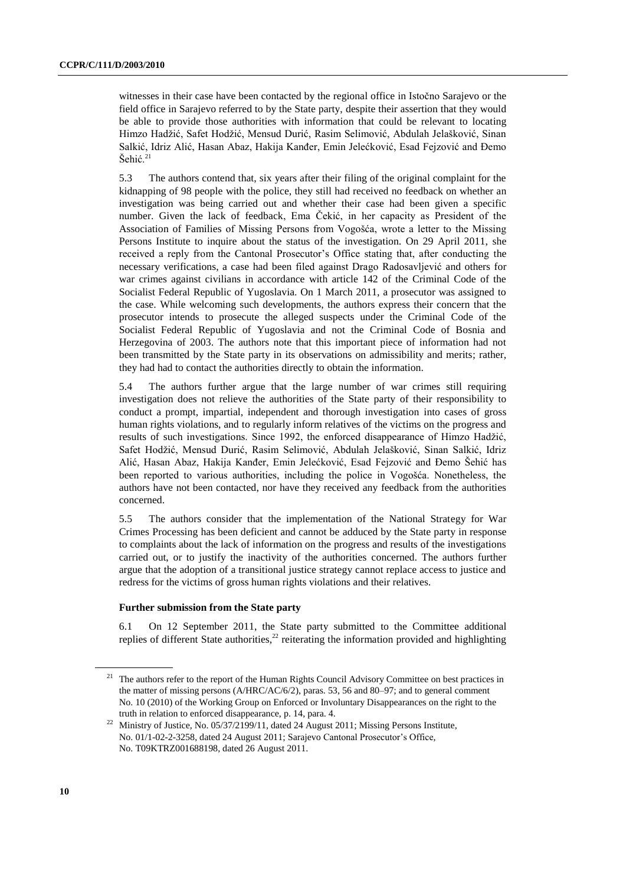witnesses in their case have been contacted by the regional office in Istočno Sarajevo or the field office in Sarajevo referred to by the State party, despite their assertion that they would be able to provide those authorities with information that could be relevant to locating Himzo Hadžić, Safet Hodžić, Mensud Durić, Rasim Selimović, Abdulah Jelašković, Sinan Salkić, Idriz Alić, Hasan Abaz, Hakija Kanđer, Emin Jelećković, Esad Fejzović and Đemo Šehić.<sup>21</sup>

5.3 The authors contend that, six years after their filing of the original complaint for the kidnapping of 98 people with the police, they still had received no feedback on whether an investigation was being carried out and whether their case had been given a specific number. Given the lack of feedback, Ema Čekić, in her capacity as President of the Association of Families of Missing Persons from Vogošća, wrote a letter to the Missing Persons Institute to inquire about the status of the investigation. On 29 April 2011, she received a reply from the Cantonal Prosecutor's Office stating that, after conducting the necessary verifications, a case had been filed against Drago Radosavljević and others for war crimes against civilians in accordance with article 142 of the Criminal Code of the Socialist Federal Republic of Yugoslavia. On 1 March 2011, a prosecutor was assigned to the case. While welcoming such developments, the authors express their concern that the prosecutor intends to prosecute the alleged suspects under the Criminal Code of the Socialist Federal Republic of Yugoslavia and not the Criminal Code of Bosnia and Herzegovina of 2003. The authors note that this important piece of information had not been transmitted by the State party in its observations on admissibility and merits; rather, they had had to contact the authorities directly to obtain the information.

5.4 The authors further argue that the large number of war crimes still requiring investigation does not relieve the authorities of the State party of their responsibility to conduct a prompt, impartial, independent and thorough investigation into cases of gross human rights violations, and to regularly inform relatives of the victims on the progress and results of such investigations. Since 1992, the enforced disappearance of Himzo Hadžić, Safet Hodžić, Mensud Durić, Rasim Selimović, Abdulah Jelašković, Sinan Salkić, Idriz Alić, Hasan Abaz, Hakija Kanđer, Emin Jelećković, Esad Fejzović and Đemo Šehić has been reported to various authorities, including the police in Vogošća. Nonetheless, the authors have not been contacted, nor have they received any feedback from the authorities concerned.

5.5 The authors consider that the implementation of the National Strategy for War Crimes Processing has been deficient and cannot be adduced by the State party in response to complaints about the lack of information on the progress and results of the investigations carried out, or to justify the inactivity of the authorities concerned. The authors further argue that the adoption of a transitional justice strategy cannot replace access to justice and redress for the victims of gross human rights violations and their relatives.

#### **Further submission from the State party**

6.1 On 12 September 2011, the State party submitted to the Committee additional replies of different State authorities,<sup>22</sup> reiterating the information provided and highlighting

<sup>&</sup>lt;sup>21</sup> The authors refer to the report of the Human Rights Council Advisory Committee on best practices in the matter of missing persons (A/HRC/AC/6/2), paras. 53, 56 and 80–97; and to general comment No. 10 (2010) of the Working Group on Enforced or Involuntary Disappearances on the right to the truth in relation to enforced disappearance, p. 14, para. 4.

<sup>&</sup>lt;sup>22</sup> Ministry of Justice, No. 05/37/2199/11, dated 24 August 2011; Missing Persons Institute, No. 01/1-02-2-3258, dated 24 August 2011; Sarajevo Cantonal Prosecutor's Office, No. T09KTRZ001688198, dated 26 August 2011.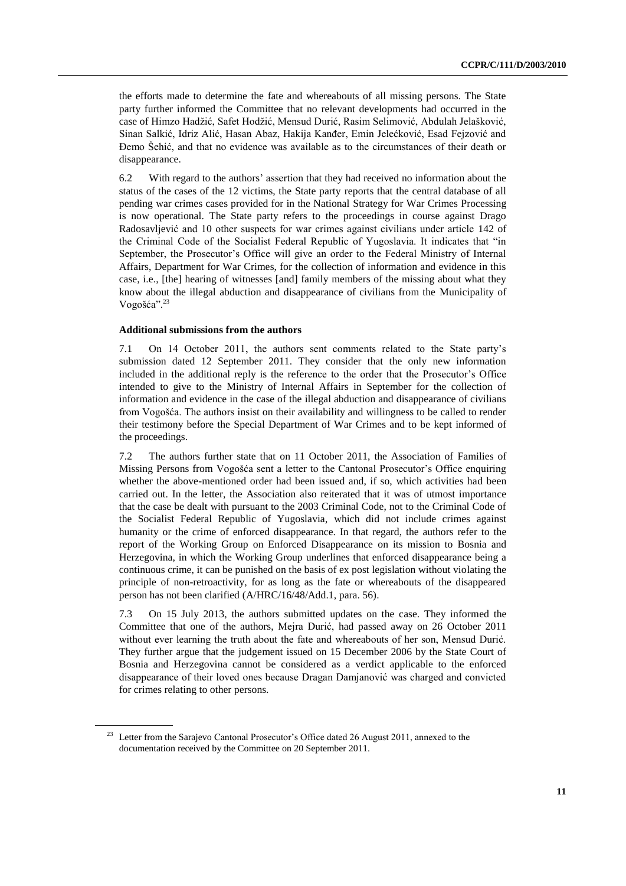the efforts made to determine the fate and whereabouts of all missing persons. The State party further informed the Committee that no relevant developments had occurred in the case of Himzo Hadžić, Safet Hodžić, Mensud Durić, Rasim Selimović, Abdulah Jelašković, Sinan Salkić, Idriz Alić, Hasan Abaz, Hakija Kanđer, Emin Jelećković, Esad Fejzović and Đemo Šehić, and that no evidence was available as to the circumstances of their death or disappearance.

6.2 With regard to the authors' assertion that they had received no information about the status of the cases of the 12 victims, the State party reports that the central database of all pending war crimes cases provided for in the National Strategy for War Crimes Processing is now operational. The State party refers to the proceedings in course against Drago Radosavljević and 10 other suspects for war crimes against civilians under article 142 of the Criminal Code of the Socialist Federal Republic of Yugoslavia. It indicates that "in September, the Prosecutor's Office will give an order to the Federal Ministry of Internal Affairs, Department for War Crimes, for the collection of information and evidence in this case, i.e., [the] hearing of witnesses [and] family members of the missing about what they know about the illegal abduction and disappearance of civilians from the Municipality of Vogošća".<sup>23</sup>

#### **Additional submissions from the authors**

7.1 On 14 October 2011, the authors sent comments related to the State party's submission dated 12 September 2011. They consider that the only new information included in the additional reply is the reference to the order that the Prosecutor's Office intended to give to the Ministry of Internal Affairs in September for the collection of information and evidence in the case of the illegal abduction and disappearance of civilians from Vogošća. The authors insist on their availability and willingness to be called to render their testimony before the Special Department of War Crimes and to be kept informed of the proceedings.

7.2 The authors further state that on 11 October 2011, the Association of Families of Missing Persons from Vogošća sent a letter to the Cantonal Prosecutor's Office enquiring whether the above-mentioned order had been issued and, if so, which activities had been carried out. In the letter, the Association also reiterated that it was of utmost importance that the case be dealt with pursuant to the 2003 Criminal Code, not to the Criminal Code of the Socialist Federal Republic of Yugoslavia, which did not include crimes against humanity or the crime of enforced disappearance. In that regard, the authors refer to the report of the Working Group on Enforced Disappearance on its mission to Bosnia and Herzegovina, in which the Working Group underlines that enforced disappearance being a continuous crime, it can be punished on the basis of ex post legislation without violating the principle of non-retroactivity, for as long as the fate or whereabouts of the disappeared person has not been clarified (A/HRC/16/48/Add.1, para. 56).

7.3 On 15 July 2013, the authors submitted updates on the case. They informed the Committee that one of the authors, Mejra Durić, had passed away on 26 October 2011 without ever learning the truth about the fate and whereabouts of her son, Mensud Durić. They further argue that the judgement issued on 15 December 2006 by the State Court of Bosnia and Herzegovina cannot be considered as a verdict applicable to the enforced disappearance of their loved ones because Dragan Damjanović was charged and convicted for crimes relating to other persons.

<sup>&</sup>lt;sup>23</sup> Letter from the Sarajevo Cantonal Prosecutor's Office dated 26 August 2011, annexed to the documentation received by the Committee on 20 September 2011.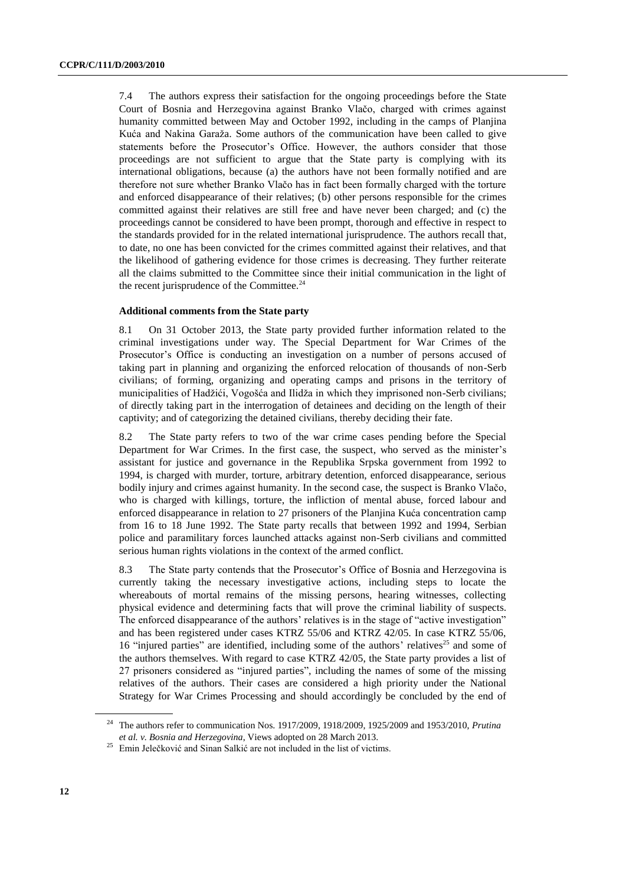7.4 The authors express their satisfaction for the ongoing proceedings before the State Court of Bosnia and Herzegovina against Branko Vlačo, charged with crimes against humanity committed between May and October 1992, including in the camps of Planjina Kuća and Nakina Garaža. Some authors of the communication have been called to give statements before the Prosecutor's Office. However, the authors consider that those proceedings are not sufficient to argue that the State party is complying with its international obligations, because (a) the authors have not been formally notified and are therefore not sure whether Branko Vlačo has in fact been formally charged with the torture and enforced disappearance of their relatives; (b) other persons responsible for the crimes committed against their relatives are still free and have never been charged; and (c) the proceedings cannot be considered to have been prompt, thorough and effective in respect to the standards provided for in the related international jurisprudence. The authors recall that, to date, no one has been convicted for the crimes committed against their relatives, and that the likelihood of gathering evidence for those crimes is decreasing. They further reiterate all the claims submitted to the Committee since their initial communication in the light of the recent jurisprudence of the Committee. $24$ 

#### **Additional comments from the State party**

8.1 On 31 October 2013, the State party provided further information related to the criminal investigations under way. The Special Department for War Crimes of the Prosecutor's Office is conducting an investigation on a number of persons accused of taking part in planning and organizing the enforced relocation of thousands of non-Serb civilians; of forming, organizing and operating camps and prisons in the territory of municipalities of Hadžići, Vogošća and Ilidža in which they imprisoned non-Serb civilians; of directly taking part in the interrogation of detainees and deciding on the length of their captivity; and of categorizing the detained civilians, thereby deciding their fate.

8.2 The State party refers to two of the war crime cases pending before the Special Department for War Crimes. In the first case, the suspect, who served as the minister's assistant for justice and governance in the Republika Srpska government from 1992 to 1994, is charged with murder, torture, arbitrary detention, enforced disappearance, serious bodily injury and crimes against humanity. In the second case, the suspect is Branko Vlačo, who is charged with killings, torture, the infliction of mental abuse, forced labour and enforced disappearance in relation to 27 prisoners of the Planjina Kuća concentration camp from 16 to 18 June 1992. The State party recalls that between 1992 and 1994, Serbian police and paramilitary forces launched attacks against non-Serb civilians and committed serious human rights violations in the context of the armed conflict.

8.3 The State party contends that the Prosecutor's Office of Bosnia and Herzegovina is currently taking the necessary investigative actions, including steps to locate the whereabouts of mortal remains of the missing persons, hearing witnesses, collecting physical evidence and determining facts that will prove the criminal liability of suspects. The enforced disappearance of the authors' relatives is in the stage of "active investigation" and has been registered under cases KTRZ 55/06 and KTRZ 42/05. In case KTRZ 55/06, 16 "injured parties" are identified, including some of the authors' relatives<sup>25</sup> and some of the authors themselves. With regard to case KTRZ 42/05, the State party provides a list of 27 prisoners considered as "injured parties", including the names of some of the missing relatives of the authors. Their cases are considered a high priority under the National Strategy for War Crimes Processing and should accordingly be concluded by the end of

<sup>24</sup> The authors refer to communication Nos. 1917/2009, 1918/2009, 1925/2009 and 1953/2010, *Prutina et al. v. Bosnia and Herzegovina*, Views adopted on 28 March 2013.

 $25$  Emin Jelečković and Sinan Salkić are not included in the list of victims.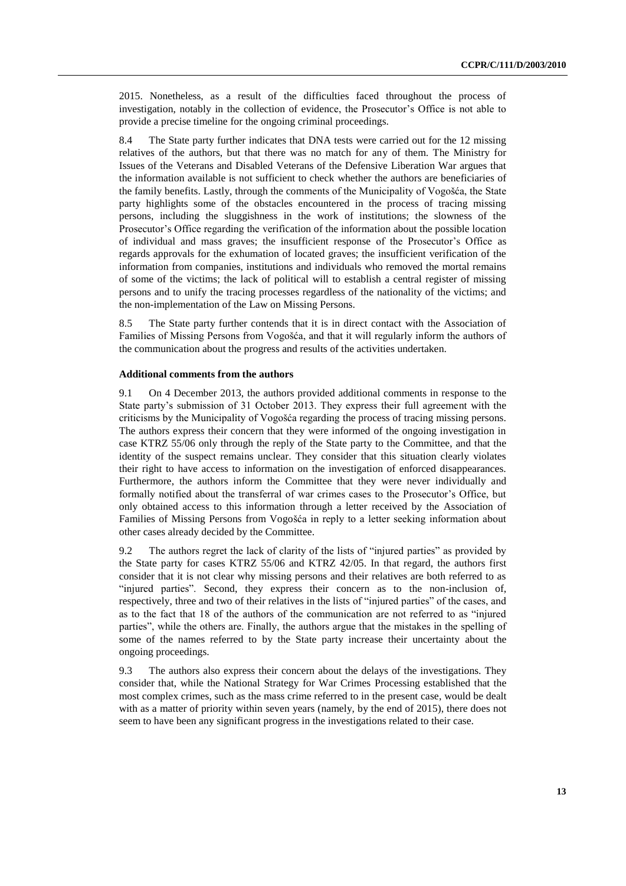2015. Nonetheless, as a result of the difficulties faced throughout the process of investigation, notably in the collection of evidence, the Prosecutor's Office is not able to provide a precise timeline for the ongoing criminal proceedings.

8.4 The State party further indicates that DNA tests were carried out for the 12 missing relatives of the authors, but that there was no match for any of them. The Ministry for Issues of the Veterans and Disabled Veterans of the Defensive Liberation War argues that the information available is not sufficient to check whether the authors are beneficiaries of the family benefits. Lastly, through the comments of the Municipality of Vogošća, the State party highlights some of the obstacles encountered in the process of tracing missing persons, including the sluggishness in the work of institutions; the slowness of the Prosecutor's Office regarding the verification of the information about the possible location of individual and mass graves; the insufficient response of the Prosecutor's Office as regards approvals for the exhumation of located graves; the insufficient verification of the information from companies, institutions and individuals who removed the mortal remains of some of the victims; the lack of political will to establish a central register of missing persons and to unify the tracing processes regardless of the nationality of the victims; and the non-implementation of the Law on Missing Persons.

8.5 The State party further contends that it is in direct contact with the Association of Families of Missing Persons from Vogošća, and that it will regularly inform the authors of the communication about the progress and results of the activities undertaken.

#### **Additional comments from the authors**

9.1 On 4 December 2013, the authors provided additional comments in response to the State party's submission of 31 October 2013. They express their full agreement with the criticisms by the Municipality of Vogošća regarding the process of tracing missing persons. The authors express their concern that they were informed of the ongoing investigation in case KTRZ 55/06 only through the reply of the State party to the Committee, and that the identity of the suspect remains unclear. They consider that this situation clearly violates their right to have access to information on the investigation of enforced disappearances. Furthermore, the authors inform the Committee that they were never individually and formally notified about the transferral of war crimes cases to the Prosecutor's Office, but only obtained access to this information through a letter received by the Association of Families of Missing Persons from Vogošća in reply to a letter seeking information about other cases already decided by the Committee.

9.2 The authors regret the lack of clarity of the lists of "injured parties" as provided by the State party for cases KTRZ 55/06 and KTRZ 42/05. In that regard, the authors first consider that it is not clear why missing persons and their relatives are both referred to as "injured parties". Second, they express their concern as to the non-inclusion of, respectively, three and two of their relatives in the lists of "injured parties" of the cases, and as to the fact that 18 of the authors of the communication are not referred to as "injured parties", while the others are. Finally, the authors argue that the mistakes in the spelling of some of the names referred to by the State party increase their uncertainty about the ongoing proceedings.

9.3 The authors also express their concern about the delays of the investigations. They consider that, while the National Strategy for War Crimes Processing established that the most complex crimes, such as the mass crime referred to in the present case, would be dealt with as a matter of priority within seven years (namely, by the end of 2015), there does not seem to have been any significant progress in the investigations related to their case.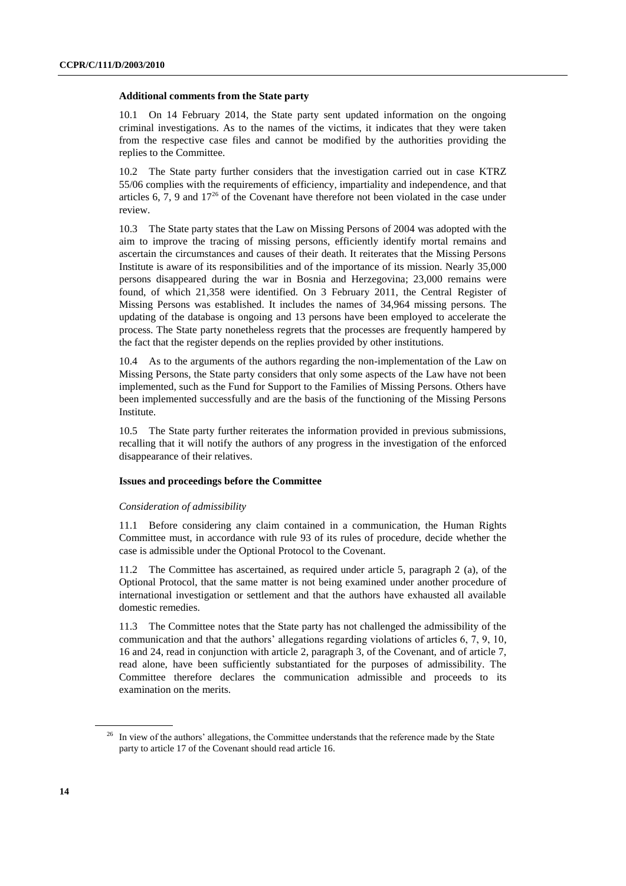#### **Additional comments from the State party**

10.1 On 14 February 2014, the State party sent updated information on the ongoing criminal investigations. As to the names of the victims, it indicates that they were taken from the respective case files and cannot be modified by the authorities providing the replies to the Committee.

10.2 The State party further considers that the investigation carried out in case KTRZ 55/06 complies with the requirements of efficiency, impartiality and independence, and that articles  $6, 7, 9$  and  $17<sup>26</sup>$  of the Covenant have therefore not been violated in the case under review.

10.3 The State party states that the Law on Missing Persons of 2004 was adopted with the aim to improve the tracing of missing persons, efficiently identify mortal remains and ascertain the circumstances and causes of their death. It reiterates that the Missing Persons Institute is aware of its responsibilities and of the importance of its mission. Nearly 35,000 persons disappeared during the war in Bosnia and Herzegovina; 23,000 remains were found, of which 21,358 were identified. On 3 February 2011, the Central Register of Missing Persons was established. It includes the names of 34,964 missing persons. The updating of the database is ongoing and 13 persons have been employed to accelerate the process. The State party nonetheless regrets that the processes are frequently hampered by the fact that the register depends on the replies provided by other institutions.

10.4 As to the arguments of the authors regarding the non-implementation of the Law on Missing Persons, the State party considers that only some aspects of the Law have not been implemented, such as the Fund for Support to the Families of Missing Persons. Others have been implemented successfully and are the basis of the functioning of the Missing Persons Institute.

10.5 The State party further reiterates the information provided in previous submissions, recalling that it will notify the authors of any progress in the investigation of the enforced disappearance of their relatives.

#### **Issues and proceedings before the Committee**

#### *Consideration of admissibility*

11.1 Before considering any claim contained in a communication, the Human Rights Committee must, in accordance with rule 93 of its rules of procedure, decide whether the case is admissible under the Optional Protocol to the Covenant.

11.2 The Committee has ascertained, as required under article 5, paragraph 2 (a), of the Optional Protocol, that the same matter is not being examined under another procedure of international investigation or settlement and that the authors have exhausted all available domestic remedies.

11.3 The Committee notes that the State party has not challenged the admissibility of the communication and that the authors' allegations regarding violations of articles 6, 7, 9, 10, 16 and 24, read in conjunction with article 2, paragraph 3, of the Covenant, and of article 7, read alone, have been sufficiently substantiated for the purposes of admissibility. The Committee therefore declares the communication admissible and proceeds to its examination on the merits.

<sup>&</sup>lt;sup>26</sup> In view of the authors' allegations, the Committee understands that the reference made by the State party to article 17 of the Covenant should read article 16.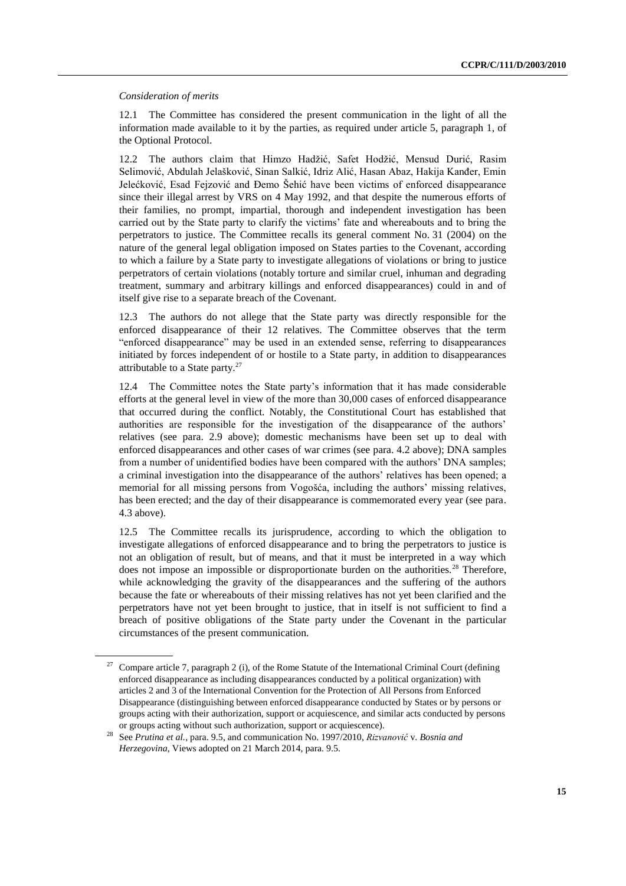#### *Consideration of merits*

12.1 The Committee has considered the present communication in the light of all the information made available to it by the parties, as required under article 5, paragraph 1, of the Optional Protocol.

12.2 The authors claim that Himzo Hadžić, Safet Hodžić, Mensud Durić, Rasim Selimović, Abdulah Jelašković, Sinan Salkić, Idriz Alić, Hasan Abaz, Hakija Kanđer, Emin Jelećković, Esad Fejzović and Đemo Šehić have been victims of enforced disappearance since their illegal arrest by VRS on 4 May 1992, and that despite the numerous efforts of their families, no prompt, impartial, thorough and independent investigation has been carried out by the State party to clarify the victims' fate and whereabouts and to bring the perpetrators to justice. The Committee recalls its general comment No. 31 (2004) on the nature of the general legal obligation imposed on States parties to the Covenant, according to which a failure by a State party to investigate allegations of violations or bring to justice perpetrators of certain violations (notably torture and similar cruel, inhuman and degrading treatment, summary and arbitrary killings and enforced disappearances) could in and of itself give rise to a separate breach of the Covenant.

12.3 The authors do not allege that the State party was directly responsible for the enforced disappearance of their 12 relatives. The Committee observes that the term "enforced disappearance" may be used in an extended sense, referring to disappearances initiated by forces independent of or hostile to a State party, in addition to disappearances attributable to a State party.<sup>27</sup>

12.4 The Committee notes the State party's information that it has made considerable efforts at the general level in view of the more than 30,000 cases of enforced disappearance that occurred during the conflict. Notably, the Constitutional Court has established that authorities are responsible for the investigation of the disappearance of the authors' relatives (see para. 2.9 above); domestic mechanisms have been set up to deal with enforced disappearances and other cases of war crimes (see para. 4.2 above); DNA samples from a number of unidentified bodies have been compared with the authors' DNA samples; a criminal investigation into the disappearance of the authors' relatives has been opened; a memorial for all missing persons from Vogošća, including the authors' missing relatives, has been erected; and the day of their disappearance is commemorated every year (see para. 4.3 above).

12.5 The Committee recalls its jurisprudence, according to which the obligation to investigate allegations of enforced disappearance and to bring the perpetrators to justice is not an obligation of result, but of means, and that it must be interpreted in a way which does not impose an impossible or disproportionate burden on the authorities.<sup>28</sup> Therefore, while acknowledging the gravity of the disappearances and the suffering of the authors because the fate or whereabouts of their missing relatives has not yet been clarified and the perpetrators have not yet been brought to justice, that in itself is not sufficient to find a breach of positive obligations of the State party under the Covenant in the particular circumstances of the present communication.

<sup>&</sup>lt;sup>27</sup> Compare article 7, paragraph 2 (i), of the Rome Statute of the International Criminal Court (defining enforced disappearance as including disappearances conducted by a political organization) with articles 2 and 3 of the International Convention for the Protection of All Persons from Enforced Disappearance (distinguishing between enforced disappearance conducted by States or by persons or groups acting with their authorization, support or acquiescence, and similar acts conducted by persons or groups acting without such authorization, support or acquiescence).

<sup>28</sup> See *Prutina et al.*, para. 9.5, and communication No. 1997/2010, *Rizvanović* v. *Bosnia and Herzegovina*, Views adopted on 21 March 2014, para. 9.5.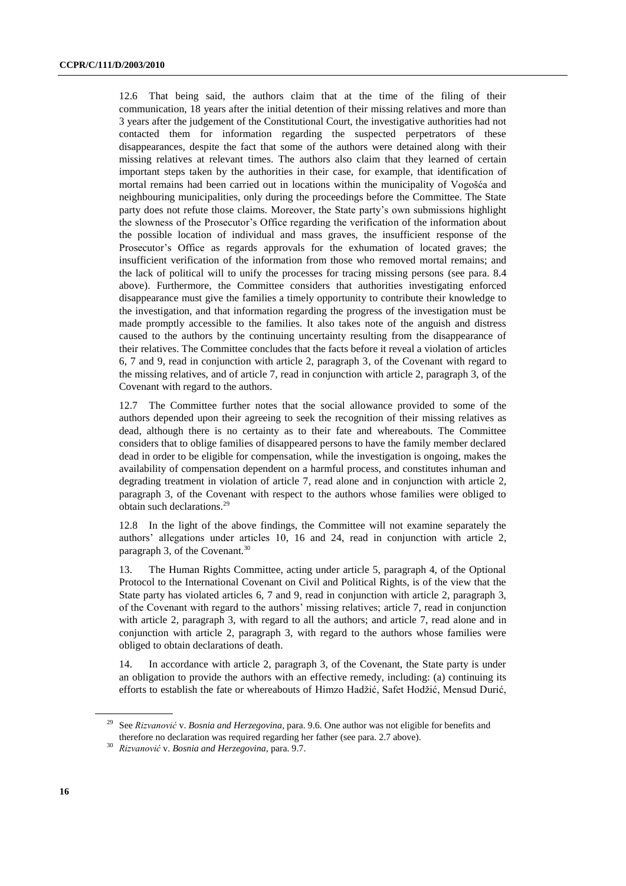12.6 That being said, the authors claim that at the time of the filing of their communication, 18 years after the initial detention of their missing relatives and more than 3 years after the judgement of the Constitutional Court, the investigative authorities had not contacted them for information regarding the suspected perpetrators of these disappearances, despite the fact that some of the authors were detained along with their missing relatives at relevant times. The authors also claim that they learned of certain important steps taken by the authorities in their case, for example, that identification of mortal remains had been carried out in locations within the municipality of Vogošća and neighbouring municipalities, only during the proceedings before the Committee. The State party does not refute those claims. Moreover, the State party's own submissions highlight the slowness of the Prosecutor's Office regarding the verification of the information about the possible location of individual and mass graves, the insufficient response of the Prosecutor's Office as regards approvals for the exhumation of located graves; the insufficient verification of the information from those who removed mortal remains; and the lack of political will to unify the processes for tracing missing persons (see para. 8.4 above). Furthermore, the Committee considers that authorities investigating enforced disappearance must give the families a timely opportunity to contribute their knowledge to the investigation, and that information regarding the progress of the investigation must be made promptly accessible to the families. It also takes note of the anguish and distress caused to the authors by the continuing uncertainty resulting from the disappearance of their relatives. The Committee concludes that the facts before it reveal a violation of articles 6, 7 and 9, read in conjunction with article 2, paragraph 3, of the Covenant with regard to the missing relatives, and of article 7, read in conjunction with article 2, paragraph 3, of the Covenant with regard to the authors.

12.7 The Committee further notes that the social allowance provided to some of the authors depended upon their agreeing to seek the recognition of their missing relatives as dead, although there is no certainty as to their fate and whereabouts. The Committee considers that to oblige families of disappeared persons to have the family member declared dead in order to be eligible for compensation, while the investigation is ongoing, makes the availability of compensation dependent on a harmful process, and constitutes inhuman and degrading treatment in violation of article 7, read alone and in conjunction with article 2, paragraph 3, of the Covenant with respect to the authors whose families were obliged to obtain such declarations.<sup>29</sup>

12.8 In the light of the above findings, the Committee will not examine separately the authors' allegations under articles 10, 16 and 24, read in conjunction with article 2, paragraph 3, of the Covenant.<sup>30</sup>

13. The Human Rights Committee, acting under article 5, paragraph 4, of the Optional Protocol to the International Covenant on Civil and Political Rights, is of the view that the State party has violated articles 6, 7 and 9, read in conjunction with article 2, paragraph 3, of the Covenant with regard to the authors' missing relatives; article 7, read in conjunction with article 2, paragraph 3, with regard to all the authors; and article 7, read alone and in conjunction with article 2, paragraph 3, with regard to the authors whose families were obliged to obtain declarations of death.

14. In accordance with article 2, paragraph 3, of the Covenant, the State party is under an obligation to provide the authors with an effective remedy, including: (a) continuing its efforts to establish the fate or whereabouts of Himzo Hadžić, Safet Hodžić, Mensud Durić,

<sup>29</sup> See *Rizvanović* v. *Bosnia and Herzegovina*, para. 9.6. One author was not eligible for benefits and therefore no declaration was required regarding her father (see para. 2.7 above).

<sup>30</sup> *Rizvanović* v. *Bosnia and Herzegovina*, para. 9.7.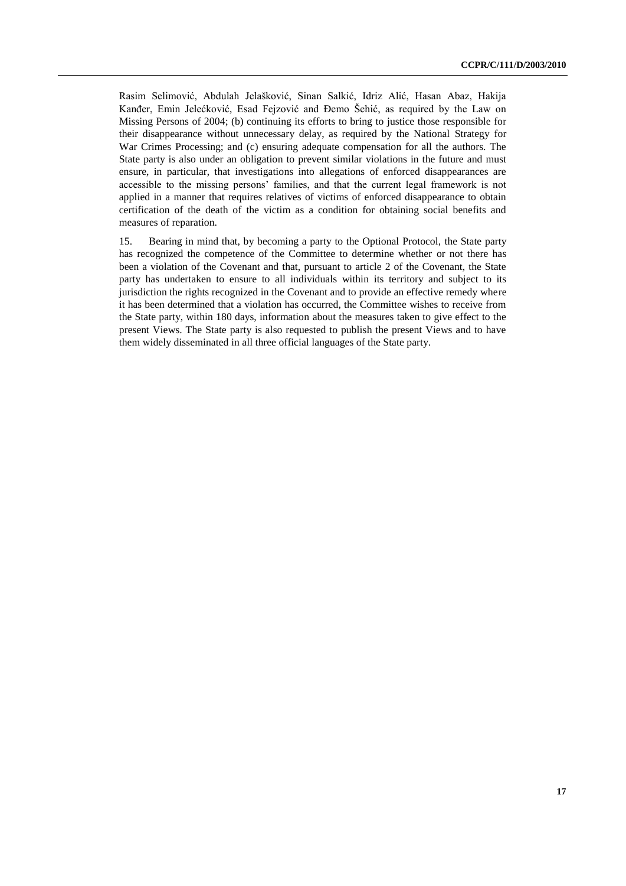Rasim Selimović, Abdulah Jelašković, Sinan Salkić, Idriz Alić, Hasan Abaz, Hakija Kanđer, Emin Jelećković, Esad Fejzović and Đemo Šehić, as required by the Law on Missing Persons of 2004; (b) continuing its efforts to bring to justice those responsible for their disappearance without unnecessary delay, as required by the National Strategy for War Crimes Processing; and (c) ensuring adequate compensation for all the authors. The State party is also under an obligation to prevent similar violations in the future and must ensure, in particular, that investigations into allegations of enforced disappearances are accessible to the missing persons' families, and that the current legal framework is not applied in a manner that requires relatives of victims of enforced disappearance to obtain certification of the death of the victim as a condition for obtaining social benefits and measures of reparation.

15. Bearing in mind that, by becoming a party to the Optional Protocol, the State party has recognized the competence of the Committee to determine whether or not there has been a violation of the Covenant and that, pursuant to article 2 of the Covenant, the State party has undertaken to ensure to all individuals within its territory and subject to its jurisdiction the rights recognized in the Covenant and to provide an effective remedy where it has been determined that a violation has occurred, the Committee wishes to receive from the State party, within 180 days, information about the measures taken to give effect to the present Views. The State party is also requested to publish the present Views and to have them widely disseminated in all three official languages of the State party.